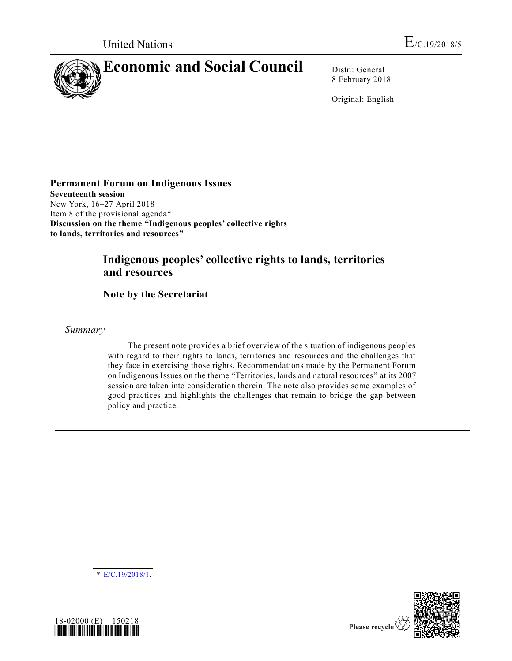

8 February 2018

Original: English

**Permanent Forum on Indigenous Issues Seventeenth session** New York, 16–27 April 2018 Item 8 of the provisional agenda\* **Discussion on the theme "Indigenous peoples' collective rights to lands, territories and resources"**

# **Indigenous peoples' collective rights to lands, territories and resources**

**Note by the Secretariat**

*Summary*

The present note provides a brief overview of the situation of indigenous peoples with regard to their rights to lands, territories and resources and the challenges that they face in exercising those rights. Recommendations made by the Permanent Forum on Indigenous Issues on the theme "Territories, lands and natural resources" at its 2007 session are taken into consideration therein. The note also provides some examples of good practices and highlights the challenges that remain to bridge the gap between policy and practice.

 $\overline{\text{E/C}}$ .19/2018/1.



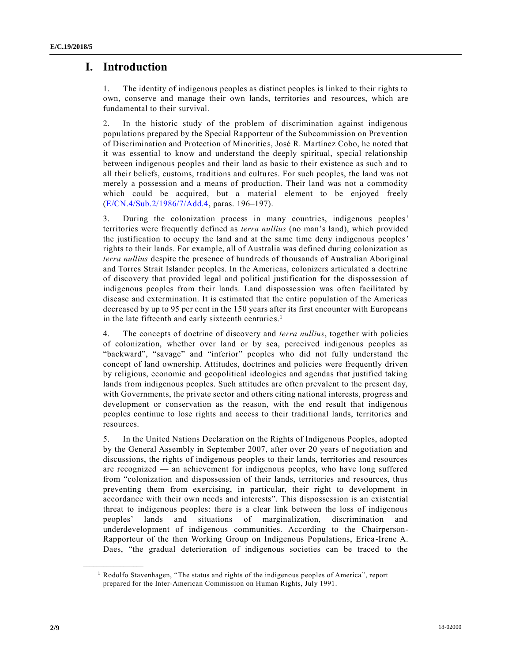## **I. Introduction**

1. The identity of indigenous peoples as distinct peoples is linked to their rights to own, conserve and manage their own lands, territories and resources, which are fundamental to their survival.

2. In the historic study of the problem of discrimination against indigenous populations prepared by the Special Rapporteur of the Subcommission on Prevention of Discrimination and Protection of Minorities, José R. Martínez Cobo, he noted that it was essential to know and understand the deeply spiritual, special relationship between indigenous peoples and their land as basic to their existence as such and to all their beliefs, customs, traditions and cultures. For such peoples, the land was not merely a possession and a means of production. Their land was not a commodity which could be acquired, but a material element to be enjoyed freely [\(E/CN.4/Sub.2/1986/7/Add.4,](https://undocs.org/E/CN.4/Sub.2/1986/7/Add.4) paras. 196–197).

3. During the colonization process in many countries, indigenous peoples' territories were frequently defined as *terra nullius* (no man's land), which provided the justification to occupy the land and at the same time deny indigenous peoples' rights to their lands. For example, all of Australia was defined during colonization as *terra nullius* despite the presence of hundreds of thousands of Australian Aboriginal and Torres Strait Islander peoples. In the Americas, colonizers articulated a doctrine of discovery that provided legal and political justification for the dispossession of indigenous peoples from their lands. Land dispossession was often facilitated by disease and extermination. It is estimated that the entire population of the Americas decreased by up to 95 per cent in the 150 years after its first encounter with Europeans in the late fifteenth and early sixteenth centuries.<sup>1</sup>

4. The concepts of doctrine of discovery and *terra nullius*, together with policies of colonization, whether over land or by sea, perceived indigenous peoples as "backward", "savage" and "inferior" peoples who did not fully understand the concept of land ownership. Attitudes, doctrines and policies were frequently driven by religious, economic and geopolitical ideologies and agendas that justified taking lands from indigenous peoples. Such attitudes are often prevalent to the present day, with Governments, the private sector and others citing national interests, progress and development or conservation as the reason, with the end result that indigenous peoples continue to lose rights and access to their traditional lands, territories and resources.

5. In the United Nations Declaration on the Rights of Indigenous Peoples, adopted by the General Assembly in September 2007, after over 20 years of negotiation and discussions, the rights of indigenous peoples to their lands, territories and resources are recognized — an achievement for indigenous peoples, who have long suffered from "colonization and dispossession of their lands, territories and resources, thus preventing them from exercising, in particular, their right to development in accordance with their own needs and interests". This dispossession is an existential threat to indigenous peoples: there is a clear link between the loss of indigenous peoples' lands and situations of marginalization, discrimination and underdevelopment of indigenous communities. According to the Chairperson-Rapporteur of the then Working Group on Indigenous Populations, Erica -Irene A. Daes, "the gradual deterioration of indigenous societies can be traced to the

<sup>1</sup> Rodolfo Stavenhagen, "The status and rights of the indigenous peoples of America", report prepared for the Inter-American Commission on Human Rights, July 1991.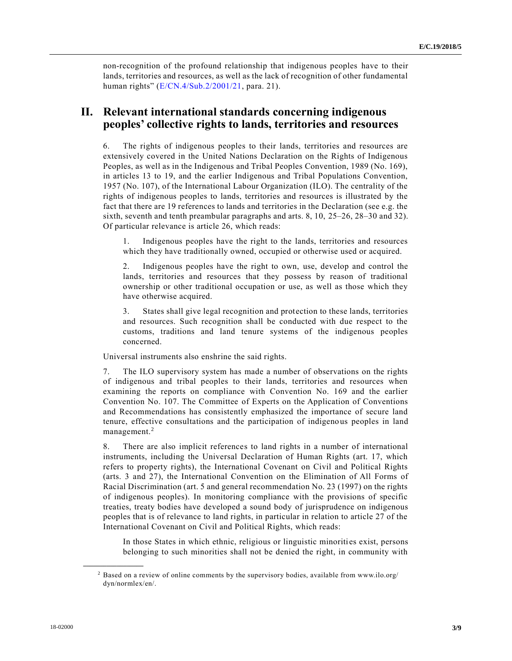non-recognition of the profound relationship that indigenous peoples have to their lands, territories and resources, as well as the lack of recognition of other fundamental human rights" [\(E/CN.4/Sub.2/2001/21,](https://undocs.org/E/CN.4/Sub.2/2001/21) para. 21).

## **II. Relevant international standards concerning indigenous peoples' collective rights to lands, territories and resources**

6. The rights of indigenous peoples to their lands, territories and resources are extensively covered in the United Nations Declaration on the Rights of Indigenous Peoples, as well as in the Indigenous and Tribal Peoples Convention, 1989 (No. 169), in articles 13 to 19, and the earlier Indigenous and Tribal Populations Convention, 1957 (No. 107), of the International Labour Organization (ILO). The centrality of the rights of indigenous peoples to lands, territories and resources is illustrated by the fact that there are 19 references to lands and territories in the Declaration (see e.g. the sixth, seventh and tenth preambular paragraphs and arts. 8, 10, 25–26, 28–30 and 32). Of particular relevance is article 26, which reads:

1. Indigenous peoples have the right to the lands, territories and resources which they have traditionally owned, occupied or otherwise used or acquired.

2. Indigenous peoples have the right to own, use, develop and control the lands, territories and resources that they possess by reason of traditional ownership or other traditional occupation or use, as well as those which they have otherwise acquired.

3. States shall give legal recognition and protection to these lands, territories and resources. Such recognition shall be conducted with due respect to the customs, traditions and land tenure systems of the indigenous peoples concerned.

Universal instruments also enshrine the said rights.

7. The ILO supervisory system has made a number of observations on the rights of indigenous and tribal peoples to their lands, territories and resources when examining the reports on compliance with Convention No. 169 and the earlier Convention No. 107. The Committee of Experts on the Application of Conventions and Recommendations has consistently emphasized the importance of secure land tenure, effective consultations and the participation of indigenous peoples in land management.<sup>2</sup>

8. There are also implicit references to land rights in a number of international instruments, including the Universal Declaration of Human Rights (art. 17, which refers to property rights), the International Covenant on Civil and Political Rights (arts. 3 and 27), the International Convention on the Elimination of All Forms of Racial Discrimination (art. 5 and general recommendation No. 23 (1997) on the rights of indigenous peoples). In monitoring compliance with the provisions of specific treaties, treaty bodies have developed a sound body of jurisprudence on indigenous peoples that is of relevance to land rights, in particular in relation to article 27 of the International Covenant on Civil and Political Rights, which reads:

In those States in which ethnic, religious or linguistic minorities exist, persons belonging to such minorities shall not be denied the right, in community with

<sup>2</sup> Based on a review of online comments by the supervisory bodies, available from www.ilo.org/ dyn/normlex/en/.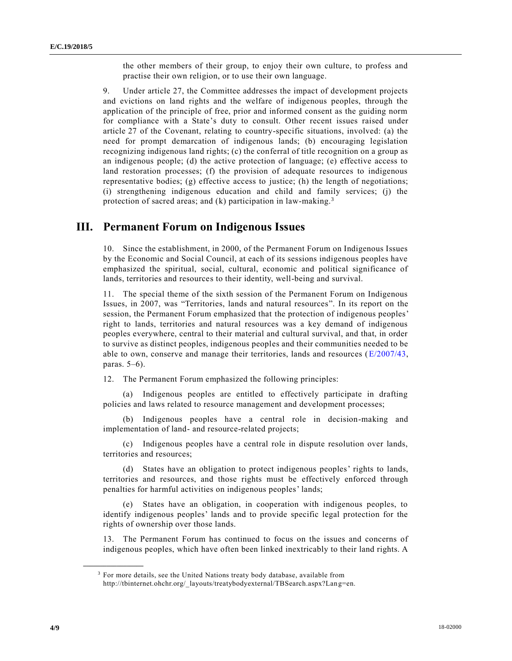the other members of their group, to enjoy their own culture, to profess and practise their own religion, or to use their own language.

9. Under article 27, the Committee addresses the impact of development projects and evictions on land rights and the welfare of indigenous peoples, through the application of the principle of free, prior and informed consent as the guiding norm for compliance with a State's duty to consult. Other recent issues raised under article 27 of the Covenant, relating to country-specific situations, involved: (a) the need for prompt demarcation of indigenous lands; (b) encouraging legislation recognizing indigenous land rights; (c) the conferral of title recognition on a group as an indigenous people; (d) the active protection of language; (e) effective access to land restoration processes; (f) the provision of adequate resources to indigenous representative bodies; (g) effective access to justice; (h) the length of negotiations; (i) strengthening indigenous education and child and family services; (j) the protection of sacred areas; and (k) participation in law-making.<sup>3</sup>

### **III. Permanent Forum on Indigenous Issues**

10. Since the establishment, in 2000, of the Permanent Forum on Indigenous Issues by the Economic and Social Council, at each of its sessions indigenous peoples have emphasized the spiritual, social, cultural, economic and political significance of lands, territories and resources to their identity, well-being and survival.

11. The special theme of the sixth session of the Permanent Forum on Indigenous Issues, in 2007, was "Territories, lands and natural resources". In its report on the session, the Permanent Forum emphasized that the protection of indigenous peoples' right to lands, territories and natural resources was a key demand of indigenous peoples everywhere, central to their material and cultural survival, and that, in order to survive as distinct peoples, indigenous peoples and their communities needed to be able to own, conserve and manage their territories, lands and resources [\(E/2007/43,](https://undocs.org/E/2007/43) paras. 5–6).

12. The Permanent Forum emphasized the following principles:

(a) Indigenous peoples are entitled to effectively participate in drafting policies and laws related to resource management and development processes;

(b) Indigenous peoples have a central role in decision-making and implementation of land- and resource-related projects;

(c) Indigenous peoples have a central role in dispute resolution over lands, territories and resources;

(d) States have an obligation to protect indigenous peoples' rights to lands, territories and resources, and those rights must be effectively enforced through penalties for harmful activities on indigenous peoples' lands;

(e) States have an obligation, in cooperation with indigenous peoples, to identify indigenous peoples' lands and to provide specific legal protection for the rights of ownership over those lands.

13. The Permanent Forum has continued to focus on the issues and concerns of indigenous peoples, which have often been linked inextricably to their land rights. A

<sup>&</sup>lt;sup>3</sup> For more details, see the United Nations treaty body database, available from http://tbinternet.ohchr.org/\_layouts/treatybodyexternal/TBSearch.aspx?Lang=en.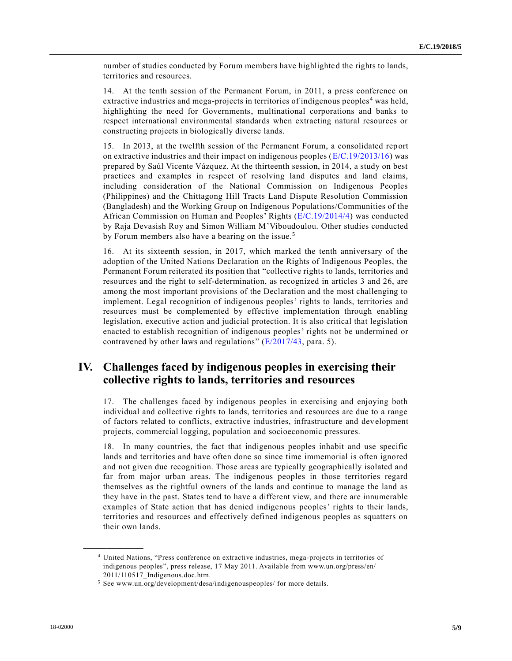number of studies conducted by Forum members have highlighted the rights to lands, territories and resources.

14. At the tenth session of the Permanent Forum, in 2011, a press conference on extractive industries and mega-projects in territories of indigenous peoples<sup>4</sup> was held, highlighting the need for Governments, multinational corporations and banks to respect international environmental standards when extracting natural resources or constructing projects in biologically diverse lands.

15. In 2013, at the twelfth session of the Permanent Forum, a consolidated report on extractive industries and their impact on indigenous peoples [\(E/C.19/2013/16\)](https://undocs.org/E/C.19/2013/16) was prepared by Saúl Vicente Vázquez. At the thirteenth session, in 2014, a study on best practices and examples in respect of resolving land disputes and land claims, including consideration of the National Commission on Indigenous Peoples (Philippines) and the Chittagong Hill Tracts Land Dispute Resolution Commission (Bangladesh) and the Working Group on Indigenous Populations/Communities of the African Commission on Human and Peoples' Rights [\(E/C.19/2014/4\)](https://undocs.org/E/C.19/2014/4) was conducted by Raja Devasish Roy and Simon William M'Viboudoulou. Other studies conducted by Forum members also have a bearing on the issue.<sup>5</sup>

16. At its sixteenth session, in 2017, which marked the tenth anniversary of the adoption of the United Nations Declaration on the Rights of Indigenous Peoples, the Permanent Forum reiterated its position that "collective rights to lands, territories and resources and the right to self-determination, as recognized in articles 3 and 26, are among the most important provisions of the Declaration and the most challenging to implement. Legal recognition of indigenous peoples' rights to lands, territories and resources must be complemented by effective implementation through enabling legislation, executive action and judicial protection. It is also critical that legislation enacted to establish recognition of indigenous peoples' rights not be undermined or contravened by other laws and regulations"  $(E/2017/43$ , para. 5).

## **IV. Challenges faced by indigenous peoples in exercising their collective rights to lands, territories and resources**

17. The challenges faced by indigenous peoples in exercising and enjoying both individual and collective rights to lands, territories and resources are due to a range of factors related to conflicts, extractive industries, infrastructure and development projects, commercial logging, population and socioeconomic pressures.

18. In many countries, the fact that indigenous peoples inhabit and use specific lands and territories and have often done so since time immemorial is often ignored and not given due recognition. Those areas are typically geographically isolated and far from major urban areas. The indigenous peoples in those territories regard themselves as the rightful owners of the lands and continue to manage the land as they have in the past. States tend to have a different view, and there are innumerable examples of State action that has denied indigenous peoples' rights to their lands, territories and resources and effectively defined indigenous peoples as squatters on their own lands.

<sup>4</sup> United Nations, "Press conference on extractive industries, mega-projects in territories of indigenous peoples", press release, 17 May 2011. Available from www.un.org/press/en/ 2011/110517\_Indigenous.doc.htm.

<sup>5</sup> See www.un.org/development/desa/indigenouspeoples/ for more details.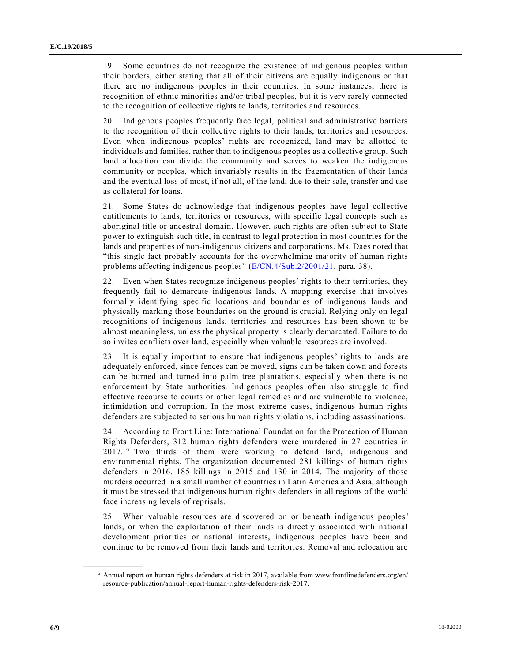19. Some countries do not recognize the existence of indigenous peoples within their borders, either stating that all of their citizens are equally indigenous or that there are no indigenous peoples in their countries. In some instances, there is recognition of ethnic minorities and/or tribal peoples, but it is very rarely connected to the recognition of collective rights to lands, territories and resources.

20. Indigenous peoples frequently face legal, political and administrative barriers to the recognition of their collective rights to their lands, territories and resources. Even when indigenous peoples' rights are recognized, land may be allotted to individuals and families, rather than to indigenous peoples as a collective group. Such land allocation can divide the community and serves to weaken the indigenous community or peoples, which invariably results in the fragmentation of their lands and the eventual loss of most, if not all, of the land, due to their sale, transfer and use as collateral for loans.

21. Some States do acknowledge that indigenous peoples have legal collective entitlements to lands, territories or resources, with specific legal concepts such as aboriginal title or ancestral domain. However, such rights are often subject to State power to extinguish such title, in contrast to legal protection in most countries for the lands and properties of non-indigenous citizens and corporations. Ms. Daes noted that "this single fact probably accounts for the overwhelming majority of human rights problems affecting indigenous peoples" [\(E/CN.4/Sub.2/2001/21,](https://undocs.org/E/CN.4/Sub.2/2001/21) para. 38).

22. Even when States recognize indigenous peoples' rights to their territories, they frequently fail to demarcate indigenous lands. A mapping exercise that involves formally identifying specific locations and boundaries of indigenous lands and physically marking those boundaries on the ground is crucial. Relying only on legal recognitions of indigenous lands, territories and resources has been shown to be almost meaningless, unless the physical property is clearly demarcated. Failure to do so invites conflicts over land, especially when valuable resources are involved.

23. It is equally important to ensure that indigenous peoples' rights to lands are adequately enforced, since fences can be moved, signs can be taken down and forests can be burned and turned into palm tree plantations, especially when there is no enforcement by State authorities. Indigenous peoples often also struggle to find effective recourse to courts or other legal remedies and are vulnerable to violence, intimidation and corruption. In the most extreme cases, indigenous human rights defenders are subjected to serious human rights violations, including assassinations.

24. According to Front Line: International Foundation for the Protection of Human Rights Defenders, 312 human rights defenders were murdered in 27 countries in 2017. <sup>6</sup> Two thirds of them were working to defend land, indigenous and environmental rights. The organization documented 281 killings of human rights defenders in 2016, 185 killings in 2015 and 130 in 2014. The majority of those murders occurred in a small number of countries in Latin America and Asia, although it must be stressed that indigenous human rights defenders in all regions of the world face increasing levels of reprisals.

25. When valuable resources are discovered on or beneath indigenous peoples' lands, or when the exploitation of their lands is directly associated with national development priorities or national interests, indigenous peoples have been and continue to be removed from their lands and territories. Removal and relocation are

 $6$  Annual report on human rights defenders at risk in 2017, available from www.frontlinedefenders.org/en/ resource-publication/annual-report-human-rights-defenders-risk-2017.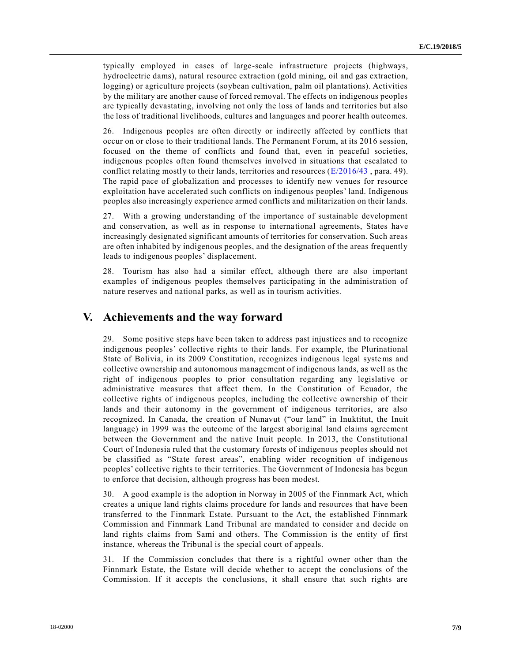typically employed in cases of large-scale infrastructure projects (highways, hydroelectric dams), natural resource extraction (gold mining, oil and gas extraction, logging) or agriculture projects (soybean cultivation, palm oil plantations). Activities by the military are another cause of forced removal. The effects on indigenous peoples are typically devastating, involving not only the loss of lands and territories but also the loss of traditional livelihoods, cultures and languages and poorer health outcomes.

26. Indigenous peoples are often directly or indirectly affected by conflicts that occur on or close to their traditional lands. The Permanent Forum, at its 2016 session, focused on the theme of conflicts and found that, even in peaceful societies, indigenous peoples often found themselves involved in situations that escalated to conflict relating mostly to their lands, territories and resources ( $E/2016/43$ , para. 49). The rapid pace of globalization and processes to identify new venues for resource exploitation have accelerated such conflicts on indigenous peoples' land. Indigenous peoples also increasingly experience armed conflicts and militarization on their lands.

27. With a growing understanding of the importance of sustainable development and conservation, as well as in response to international agreements, States have increasingly designated significant amounts of territories for conservation. Such areas are often inhabited by indigenous peoples, and the designation of the areas frequently leads to indigenous peoples' displacement.

28. Tourism has also had a similar effect, although there are also important examples of indigenous peoples themselves participating in the administration of nature reserves and national parks, as well as in tourism activities.

### **V. Achievements and the way forward**

29. Some positive steps have been taken to address past injustices and to recognize indigenous peoples' collective rights to their lands. For example, the Plurinational State of Bolivia, in its 2009 Constitution, recognizes indigenous legal systems and collective ownership and autonomous management of indigenous lands, as well as the right of indigenous peoples to prior consultation regarding any legislative or administrative measures that affect them. In the Constitution of Ecuador, the collective rights of indigenous peoples, including the collective ownership of their lands and their autonomy in the government of indigenous territories, are also recognized. In Canada, the creation of Nunavut ("our land" in Inuktitut, the Inuit language) in 1999 was the outcome of the largest aboriginal land claims agreement between the Government and the native Inuit people. In 2013, the Constitutional Court of Indonesia ruled that the customary forests of indigenous peoples should not be classified as "State forest areas", enabling wider recognition of indigenous peoples' collective rights to their territories. The Government of Indonesia has begun to enforce that decision, although progress has been modest.

30. A good example is the adoption in Norway in 2005 of the Finnmark Act, which creates a unique land rights claims procedure for lands and resources that have been transferred to the Finnmark Estate. Pursuant to the Act, the established Finnmark Commission and Finnmark Land Tribunal are mandated to consider and decide on land rights claims from Sami and others. The Commission is the entity of first instance, whereas the Tribunal is the special court of appeals.

31. If the Commission concludes that there is a rightful owner other than the Finnmark Estate, the Estate will decide whether to accept the conclusions of the Commission. If it accepts the conclusions, it shall ensure that such rights are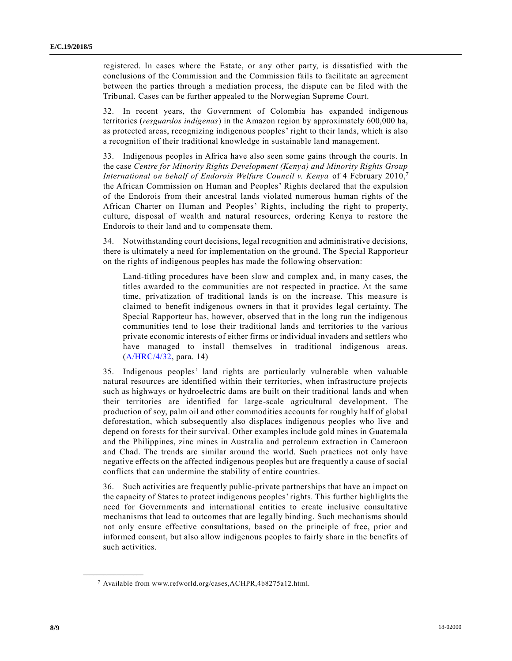registered. In cases where the Estate, or any other party, is dissatisfied with the conclusions of the Commission and the Commission fails to facilitate an agreement between the parties through a mediation process, the dispute can be filed with the Tribunal. Cases can be further appealed to the Norwegian Supreme Court.

32. In recent years, the Government of Colombia has expanded indigenous territories (*resguardos indígenas*) in the Amazon region by approximately 600,000 ha, as protected areas, recognizing indigenous peoples' right to their lands, which is also a recognition of their traditional knowledge in sustainable land management.

33. Indigenous peoples in Africa have also seen some gains through the courts. In the case *Centre for Minority Rights Development (Kenya) and Minority Rights Group International on behalf of Endorois Welfare Council v. Kenya* of 4 February 2010,<sup>7</sup> the African Commission on Human and Peoples' Rights declared that the expulsion of the Endorois from their ancestral lands violated numerous human rights of the African Charter on Human and Peoples' Rights, including the right to property, culture, disposal of wealth and natural resources, ordering Kenya to restore the Endorois to their land and to compensate them.

34. Notwithstanding court decisions, legal recognition and administrative decisions, there is ultimately a need for implementation on the ground. The Special Rapporteur on the rights of indigenous peoples has made the following observation:

Land-titling procedures have been slow and complex and, in many cases, the titles awarded to the communities are not respected in practice. At the same time, privatization of traditional lands is on the increase. This measure is claimed to benefit indigenous owners in that it provides legal certainty. The Special Rapporteur has, however, observed that in the long run the indigenous communities tend to lose their traditional lands and territories to the various private economic interests of either firms or individual invaders and settlers who have managed to install themselves in traditional indigenous areas. [\(A/HRC/4/32,](https://undocs.org/A/HRC/4/32) para. 14)

35. Indigenous peoples' land rights are particularly vulnerable when valuable natural resources are identified within their territories, when infrastructure projects such as highways or hydroelectric dams are built on their traditional lands and when their territories are identified for large-scale agricultural development. The production of soy, palm oil and other commodities accounts for roughly half of global deforestation, which subsequently also displaces indigenous peoples who live and depend on forests for their survival. Other examples include gold mines in Guatemala and the Philippines, zinc mines in Australia and petroleum extraction in Cameroon and Chad. The trends are similar around the world. Such practices not only have negative effects on the affected indigenous peoples but are frequently a cause of social conflicts that can undermine the stability of entire countries.

36. Such activities are frequently public-private partnerships that have an impact on the capacity of States to protect indigenous peoples' rights. This further highlights the need for Governments and international entities to create inclusive consultative mechanisms that lead to outcomes that are legally binding. Such mechanisms should not only ensure effective consultations, based on the principle of free, prior and informed consent, but also allow indigenous peoples to fairly share in the benefits of such activities.

<sup>7</sup> Available from www.refworld.org/cases,ACHPR,4b8275a12.html.